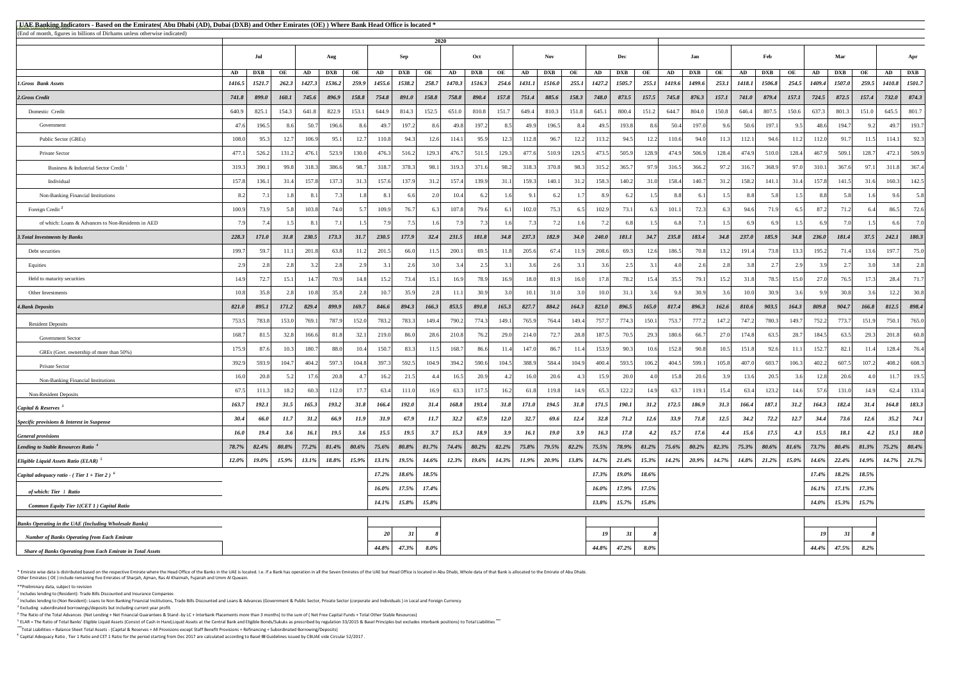<sup>5</sup> ELAR = The Ratio of Total Banks' Eligible Liquid Assets (Consist of Cash in Hand,Liquid Assets at the Central Bank and Eligible Bonds/Sukuks as prescribed by regulation 33/2015 & Basel Principles but excludes interbank **\*\*\***Total Liabilities = Balance Sheet Total Assets - (Capital & Reserves + All Provisions except Staff Benefit Provisions + Refinancing + Subordinated Borrowing/Deposits)

\* Emirate wise data is distributed based on the respective Emirate where the Head Office of the Banks in the UAE is located. I.e. If a Bank has operation in all the Seven Emirates of the UAE but Head Office is located in A Other Emirates ( OE ) include remaining five Emirates of Sharjah, Ajman, Ras Al Khaimah, Fujairah and Umm Al Quwain.

| <b>EUAE Banking Indicators - Based on the Emirates</b> (Abu Dhabi (AD), Dubai (DXB) and Other Emirates (OE)) Where Bank Head Office is located * |             |              |              |             |            |          |              |             |          |          |              |            |               |            |          |              |                     |             |               |               |          |              |            |          |          |            |          |               |                |
|--------------------------------------------------------------------------------------------------------------------------------------------------|-------------|--------------|--------------|-------------|------------|----------|--------------|-------------|----------|----------|--------------|------------|---------------|------------|----------|--------------|---------------------|-------------|---------------|---------------|----------|--------------|------------|----------|----------|------------|----------|---------------|----------------|
| (End of month, figures in billions of Dirhams unless otherwise indicated)                                                                        | 2020        |              |              |             |            |          |              |             |          |          |              |            |               |            |          |              |                     |             |               |               |          |              |            |          |          |            |          |               |                |
|                                                                                                                                                  |             | Aug          |              |             | Sep        |          |              | Oct         |          |          |              | <b>Nov</b> |               |            | Dec      |              |                     | Jan         |               |               | Feb      |              |            | Mar      |          |            | Apr      |               |                |
|                                                                                                                                                  | AD          | <b>DXB</b>   | OE           | AD          | <b>DXB</b> | OE       | AD           | <b>DXB</b>  | OE       | AD       | <b>DXB</b>   | OE         | AD            | <b>DXB</b> | OE       | AD           | <b>DXB</b>          | OE          | AD            | <b>DXB</b>    | OE       | AD           | <b>DXB</b> | OE       | AD       | <b>DXB</b> | OE       | AD            | <b>DXB</b>     |
| 1.Gross Bank Assets                                                                                                                              | 1416.5      | 1521.7       | 262.3        | 1427.3      | 1536.2     | 259.9    | 1455.6       | 1538.2      | 258.7    | 1470.3   | 1516.3       | 254.6      | <b>1431.1</b> | 1516.0     | 255.1    | 1427.2       | 1505.7              | 255.1       | <i>1419.6</i> | <b>1499.6</b> | 253.1    | 1418.1       | 1506.8     | 254.5    | 1409.4   | 1507.0     | 259.5    | <b>1410.8</b> | 1501.7         |
| 2.Gross Credit                                                                                                                                   | 741.8       | 899.0        | <b>160.1</b> | 745.6       | 896.9      | 158.8    | 754.8        | 891.0       | 158.8    | 758.8    | 890.4        | 157.8      | 751.4         | 885.6      | 158.3    | 748.0        | 873.5               | 157.5       | 745.8         | 876.3         | 157.1    | <b>741.0</b> | 879.4      | 157.1    | 724.5    | 872.5      | 157.4    | 732.0         | 874.3          |
| Domestic Credit                                                                                                                                  | 640.9       | 825.1        | 154.3        | 641.8       | 822.9      | 153.1    | 644.9        | 814.3       | 152.5    | 651.0    | 810.8        | 151.7      | 649.4         | 810.3      | 151.8    | 645.1        | 800.4               | 151.2       | 644.7         | 804.0         | 150.8    | 646.4        | 807.5      | 150.6    | 637.3    | 801.3      | 151.0    | 645.5         | 801.7          |
| Government                                                                                                                                       | 47.6        | 196.5        |              | 50.7        | 196.6      | 86       | 49.7         | 197.2       | 8.6      | 49.8     | 197.2        | 8.5        | 49.9          | 196.5      | 8.4      | 49.5         | 193.8               | 8.6         | 50.4          | 197.0         | 96       | 50.6         | 197.1      | 9.5      | 48.6     | 194.7      | 9.2      | 49.7          | 193.7          |
| Public Sector (GREs)                                                                                                                             | 108.0       | 95.3         | 12.7         | 106.9       | 95.1       | 12.7     | 110.8        | 94.3        | 12.6     | 114.1    | 95.9         | 12.3       | 112.8         | 96.7       | 12.2     | 113.2        | 94.5                | 12.2        | 110.6         | 94.0          | 11.3     | 112.1        | 94.6       | 11.2     | 112.0    | 91.7       | 11.5     | 114.1         | 92.3           |
| Private Sector                                                                                                                                   | 477.1       | 526.2        | 131.2        | 476.1       | 523.9      | 130.0    | 476.3        | 516.2       | 129.3    | 476.7    | 511.5        | 129.3      | 477.6         | 510.9      | 129.5    | 473.5        | 505.9               | 128.9       | 474.9         | 506.9         | 128.4    | 474.9        | 510.0      | 128.4    | 467.9    | 509.1      | 128.7    | 472.1         | 509.9          |
| Business & Industrial Sector Credit <sup>1</sup>                                                                                                 | 319.3       | 390.1        | 99.8         | 318.3       | 386.6      | 98.7     | 318.7        | 378.3       | 98.1     | 319.3    | 371.6        | 98.2       | 318.3         | 370.8      | 98.3     | 315.2        | 365.7               | 97.9        | 316.5         | 366.2         | 97.2     | 316.7        | 368.9      | 97.0     | 310.1    | 367.6      | 97.1     | 311.8         | 367.4          |
| Individual                                                                                                                                       | 157.8       | 136.1        | 31.4         | 157.8       | 137.3      | 31.3     | 157.6        | 137.9       | 31.2     | 157.4    | 139.9        | 31.1       | 159.3         | 140.1      | 31.2     | 158.3        | 140.2               | 31.0        | 158.4         | 140.7         | 31.2     | 158.2        | 141.1      | 31.4     | 157.8    | 141.5      | 31.6     | 160.3         | 142.5          |
| Non-Banking Financial Institutions                                                                                                               | 8.2         |              |              | 81          |            |          | 8.1          |             | 2.0      | 10.4     |              |            | 9.1           | 6.2        |          |              |                     |             |               |               |          |              |            |          |          |            |          | 9.6           | 5.8            |
| Foreign Credit <sup>2</sup>                                                                                                                      | 100.9       | 73.9         |              | 103.8       | 74.0       | 5.7      | 109.9        | 76.7        |          | 107.8    | 79.6         |            | 102.0         | 75.3       |          | 102.9        | 73.1                |             | 101.1         | 72.3          |          | 94.6         | 71.9       |          | 87.2     | 71.2       |          | 86.5          | 72.6           |
| of which: Loans & Advances to Non-Residents in AED                                                                                               |             |              |              |             |            |          | 7.9          |             |          |          | 73           |            | 7.3           | 7.2        |          |              | 6.8                 |             | 68            |               | 151      |              |            |          |          |            |          | 66            | 7.0            |
| <b>3. Total Investments by Banks</b>                                                                                                             | 228.3       | <i>171.0</i> | 31.8         | 230.5       | 173.3      | 31.7     | 230.5        | 177.9       | 32.4     | 231.5    | <i>181.8</i> | 34.8       | 237.3         | 182.9      | 34.0     | <b>240.0</b> | <i><b>181.1</b></i> | <b>34.7</b> | 235.8         | 183.4         | 34.8     | 237.0        | 185.9      | 34.8     | 236.0    | 181.4      | 37.5     | 242.1         | 180.3          |
| Debt securities                                                                                                                                  | 199.7       | 59.7         | 11.1         | 201.8       | 63.8       | 11.2     | 201.5        | 66.0        | 11.5     | 200.1    | 69.5         | 11.8       | 205.6         | 67.4       | 11.9     | 208.6        | 69.3                | 12.6        | 186.5         | 70.8          | 13.2     | 191.4        | 73.8       | 13.3     | 195.2    | 71.4       | 13.6     | 197.7         | 75.0           |
| Equities                                                                                                                                         | 2.9         |              |              |             | 2.8        | 2.9      | 3.1          |             |          |          | 2.5          | 3.1        | 3.6           | 2.6        | 3.1      |              | 2.5                 |             |               | 2.6           | 2.8      |              |            |          |          | 2.7        | 3.0      | 3.8           | 2.8            |
| Held to maturity securities                                                                                                                      | 14.9        |              | 15.1         | 14.7        | 70.9       | 14.8     | 15.2         | 73.4        | 15.1     | 16.9     | 78.9         | 16.9       | 18.0          | 81.9       | 16.0     | 17.8         | 78.2                | 15.4        | 35.5          | 79.1          | 15.2     | 31.8         | 78.5       | 15.0     | 27.0     | 76.5       | 17.3     | 28.4          | 71.7           |
| Other Investments                                                                                                                                | 10.8        |              |              | 10.8        | 35.8       |          | 10.7         | 35.9        |          | 11.1     | 30.9         |            | 10.1          | 31.0       |          | 10.0         | 31.1                |             |               | 30.9          |          | 10.0         | 30.9       |          |          | 30.8       |          | 12.2          | 30.8           |
| <b>4. Bank Deposits</b>                                                                                                                          | 821.0       | 895.1        | <i>171.2</i> | 829.4       | 899.9      | 169.7    | 846.6        | 894.3       | 166.3    | 853.5    | 891.8        | 165.3      | 827.7         | 884.2      | 164.3    | 823.0        | 896.5               | 165.0       | 817.4         | 896.3         | 162.6    | 810.6        | 903.5      | 164.3    | 809.8    | 904.7      | 166.8    | 812.5         | 898.4          |
| <b>Resident Deposits</b>                                                                                                                         | 753.5       | 783.8        | 153.0        | 769.1       | 787.9      | 152.0    | 783.2        | 783.3       | 149.4    | 790.2    | 774.3        | 149.1      | 765.9         | 764.4      | 149.4    | 757.7        | 774.3               | 150.1       | 753.7         | 777.2         | 147.2    | 747.2        | 780.3      | 149.7    | 752.2    | 773.7      | 151.9    | 750.1         | 765.0          |
| <b>Government Sector</b>                                                                                                                         | 168.7       | 81.5         | 32.8         | 166.6       | 81.8       | 32.1     | 219.0        | 86.0        | 28.6     | 210.8    | 76.2         | 29.0       | 214.0         | 72.7       | 28.8     | 187.5        | 70.5                | 29.3        | 180.6         | 66.7          | 27.0     | 174.8        | 63.5       | 28.7     | 184.5    | 63.5       | 29.3     | 201.8         | 60.8           |
| GREs (Govt. ownership of more than 50%)                                                                                                          | 175.9       | 87.6         | 10.3         | 180.7       | 88.0       | 10.4     | 150.7        | 83.3        | 11.5     | 168.7    | 86.6         | 11.4       | 147.0         | 86.7       | 11.4     | 153.9        | 90.3                | 10.6        | 152.8         | 90.8          | 10.5     | 151.8        | 92.6       | 11.1     | 152.7    | 82.1       | 11.4     | 128.4         | 76.4           |
| Private Sector                                                                                                                                   | 392.9       | 593.9        | 104.7        | 404.2       | 597.3      | 104.8    | 397.3        | 592.5       | 104.9    | 394.2    | 590.6        | 104.5      | 388.9         | 584.4      | 104.9    | 400.4        | 593.5               | 106.2       | 404.5         | 599.1         | 105.8    | 407.0        | 603.7      | 106.3    | 402.2    | 607.5      | 107.2    | 408.2         | 608.3          |
| Non-Banking Financial Institutions                                                                                                               | 16.0        | 20.8         |              | 17.6        | 20.8       |          | 16.2         | 21.5        |          | 16.5     | 20.9         |            | 16.0          | 20.6       |          | 15.9         | 20.0                |             | 15.8          | 20.6          |          | 13.6         | 20.5       |          | 12.8     | 20.6       |          | 11.7          | 19.5           |
| <b>Non-Resident Deposits</b>                                                                                                                     | 67.5        | 111.3        | 18.2         | 60.3        | 112.0      | 17.7     | 63.4         | 111.0       | 16.9     | 63.3     | 117.5        | 16.2       | 61.8          | 119.8      | 14.9     | 65.3         | 122.2               | 14.9        | 63.7          | 119.1         | 15.4     | 63.4         | 123.2      | 14.6     | 57.6     | 131.0      | 14.9     | 62.4          | 133.4          |
| <i>Capital &amp; Reserves</i> $3$                                                                                                                | 163.7       | 192.1        | 31.5         | 165.3       | 193.2      | 31.8     | 166.4        | 192.0       | 31.4     | 168.8    | 193.4        | 31.8       | <i>171.0</i>  | 194.5      | 31.8     | 171.5        | <b>190.1</b>        | 31.2        | 172.5         | 186.9         | 31.3     | 166.4        | 187.1      | 31.2     | 164.3    | 182.4      | 31.4     | 164.8         | 183.3          |
| Specific provisions & Interest in Suspense                                                                                                       | 30.4        | 66.0         | 11.7         | 31.2        | 66.9       | 11.9     | <b>31.9</b>  | 67.9        | 11.7     | 32.2     | 67.9         | 12.0       | 32.7          | 69.6       | 12.4     | 32.8         | 71.2                | <b>12.6</b> | 33.9          | 71.8          | 12.5     | 34.2         | 72.2       | 12.7     | 34.4     | 73.6       | 12.6     | 35.2          | 74.1           |
| <b>General provisions</b>                                                                                                                        | <b>16.0</b> | 19.4         | 3.6          | <b>16.1</b> | 19.5       | 3.6      | 15.5         | <b>19.5</b> | 3.7      | 15.3     | 18.9         | 3.9        | 16.1          | 19.0       | 3.9      | 16.3         | 17.8                | 4.2         | 15.7          | 17.6          | 4.4      | 15.6         | 17.5       | 4.3      | 15.5     | 18.1       | 4.2      | 15.1          | <b>18.0</b>    |
| Lending to Stable Resources Ratio <sup>4</sup>                                                                                                   | 78.7%       | $82.4\%$     | 80.8%        | $77.2\%$    | $81.4\%$   | $80.6\%$ | $75.6\%$     | $80.8\%$    | $81.7\%$ | $74.4\%$ | $80.2\%$     | $82.2\%$   | $75.8\%$      | $79.5\%$   | $82.2\%$ | $75.5\%$     | 78.9%               | $81.2\%$    | $75.6\%$      | $80.2\%$      | $82.3\%$ | $75.3\%$     | $80.6\%$   | $81.6\%$ | $73.7\%$ | $80.4\%$   | $81.3\%$ |               | 75.2% 80.4%    |
| Eligible Liquid Assets Ratio (ELAR)                                                                                                              | 12.0%       | 19.0%        | 15.9%        | 13.1%       | 18.8%      | 15.9%    | $13.1\%$     | 19.5%       | $14.6\%$ | 12.3%    | $19.6\%$     | $14.3\%$   | $11.9\%$      | $20.9\%$   | 13.8%    | 14.7%        | 21.4%               | 15.3%       | $14.2\%$      | 20.9%         | 14.7%    | $14.8\%$     | $21.2\%$   | 15.0%    | 14.6%    | 22.4%      | 14.9%    |               | $14.7\%$ 21.7% |
| <i>Capital adequacy ratio - (Tier 1 + Tier 2)</i> $\delta$                                                                                       |             |              |              |             |            |          | $17.2\%$     | 18.6%       | 18.5%    |          |              |            |               |            |          | 17.3%        | 19.0%               | 18.6%       |               |               |          |              |            |          | $17.4\%$ | 18.2%      | 18.5%    |               |                |
| of which: Tier 1 Ratio                                                                                                                           |             |              |              |             |            |          | 16.0%        | 17.5%       | 17.4%    |          |              |            |               |            |          | $16.0\%$     | 17.9%               | 17.5%       |               |               |          |              |            |          | $16.1\%$ | 17.1%      | 17.3%    |               |                |
| <b>Common Equity Tier 1(CET 1) Capital Ratio</b>                                                                                                 |             |              |              |             |            |          | <b>14.1%</b> | 15.8%       | 15.8%    |          |              |            |               |            |          | 13.8%        | $15.7\%$            | 15.8%       |               |               |          |              |            |          | $14.0\%$ | $15.3\%$   | 15.7%    |               |                |
| <b>Banks Operating in the UAE (Including Wholesale Banks)</b>                                                                                    |             |              |              |             |            |          |              |             |          |          |              |            |               |            |          |              |                     |             |               |               |          |              |            |          |          |            |          |               |                |
| <b>Number of Banks Operating from Each Emirate</b>                                                                                               |             |              |              |             |            |          | 20           | 31          |          |          |              |            |               |            |          | 19           | 31                  |             |               |               |          |              |            |          |          |            |          |               |                |
| <b>Share of Banks Operating from Each Emirate in Total Assets</b>                                                                                |             |              |              |             |            |          |              | 47.3%       | $8.0\%$  |          |              |            |               |            |          | 44.8%        | 47.2%               | $8.0\%$     |               |               |          |              |            |          | 44.4%    | 47.5%      | $8.2\%$  |               |                |

\*\*Preliminary data, subject to revision

 $<sup>1</sup>$  Includes lending to (Resident): Trade Bills Discounted and Insurance Companies</sup>

<sup>2</sup> Includes lending to (Non Resident): Loans to Non Banking Financial Institutions, Trade Bills Discounted and Loans & Advances (Government & Public Sector, Private Sector (corporate and Individuals) in Local and Foreign  $3$  Excluding subordinated borrowings/deposits but including current year profit.

 $^4$  The Ratio of the Total Advances (Net Lending + Net Financial Guarantees & Stand -by LC + Interbank Placements more than 3 months) to the sum of (Net Free Capital Funds + Total Other Stable Resources)

<sup>6</sup>Capital Adequacy Ratio , Tier 1 Ratio and CET 1 Ratio for the period starting from Dec 2017 are calculated according to Basel **III** Guidelines issued by CBUAE vide Circular 52/2017 .